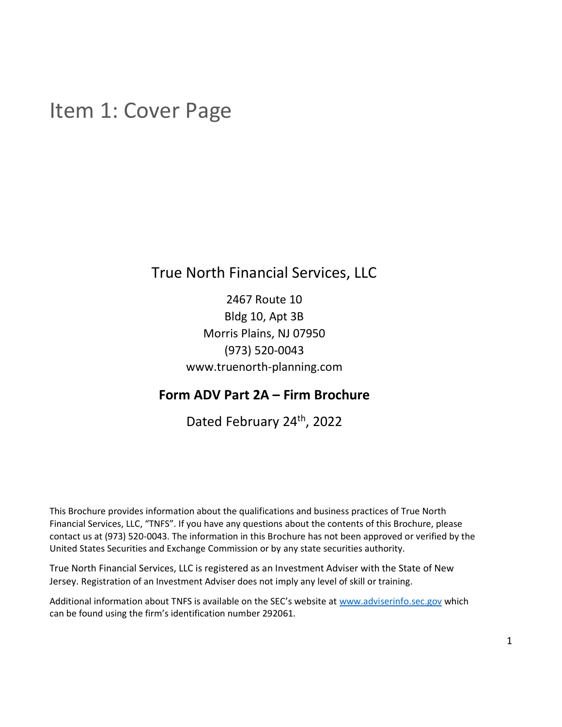## <span id="page-0-0"></span>Item 1: Cover Page

True North Financial Services, LLC

2467 Route 10 Bldg 10, Apt 3B Morris Plains, NJ 07950 (973) 520-0043 www.truenorth-planning.com

## **Form ADV Part 2A – Firm Brochure**

Dated February 24th, 2022

This Brochure provides information about the qualifications and business practices of True North Financial Services, LLC, "TNFS". If you have any questions about the contents of this Brochure, please contact us at (973) 520-0043. The information in this Brochure has not been approved or verified by the United States Securities and Exchange Commission or by any state securities authority.

True North Financial Services, LLC is registered as an Investment Adviser with the State of New Jersey. Registration of an Investment Adviser does not imply any level of skill or training.

Additional information about TNFS is available on the SEC's website at [www.adviserinfo.sec.gov](http://www.adviserinfo.sec.gov/) which can be found using the firm's identification number 292061.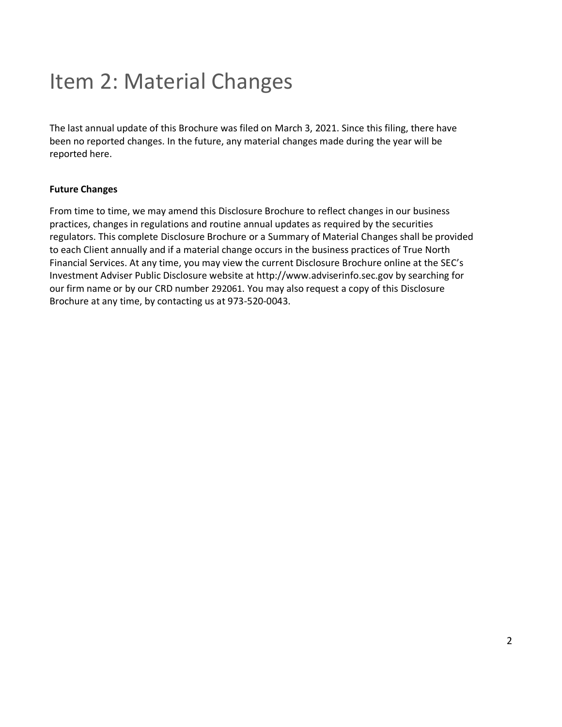## <span id="page-1-0"></span>Item 2: Material Changes

The last annual update of this Brochure was filed on March 3, 2021. Since this filing, there have been no reported changes. In the future, any material changes made during the year will be reported here.

#### **Future Changes**

From time to time, we may amend this Disclosure Brochure to reflect changes in our business practices, changes in regulations and routine annual updates as required by the securities regulators. This complete Disclosure Brochure or a Summary of Material Changes shall be provided to each Client annually and if a material change occurs in the business practices of True North Financial Services. At any time, you may view the current Disclosure Brochure online at the SEC's Investment Adviser Public Disclosure website at http://www.adviserinfo.sec.gov by searching for our firm name or by our CRD number 292061. You may also request a copy of this Disclosure Brochure at any time, by contacting us at 973-520-0043.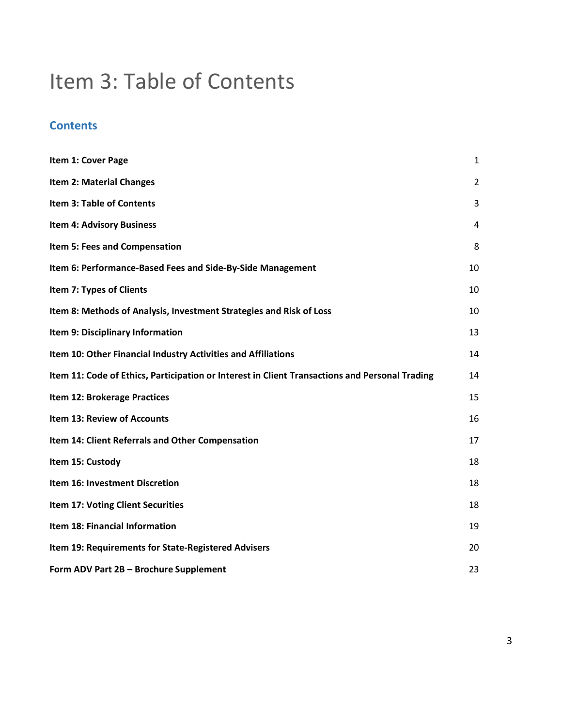## <span id="page-2-0"></span>Item 3: Table of Contents

## **Contents**

| Item 1: Cover Page                                                                             | 1              |
|------------------------------------------------------------------------------------------------|----------------|
| <b>Item 2: Material Changes</b>                                                                | $\overline{2}$ |
| <b>Item 3: Table of Contents</b>                                                               | 3              |
| <b>Item 4: Advisory Business</b>                                                               | 4              |
| Item 5: Fees and Compensation                                                                  | 8              |
| Item 6: Performance-Based Fees and Side-By-Side Management                                     | 10             |
| Item 7: Types of Clients                                                                       | 10             |
| Item 8: Methods of Analysis, Investment Strategies and Risk of Loss                            | 10             |
| Item 9: Disciplinary Information                                                               | 13             |
| Item 10: Other Financial Industry Activities and Affiliations                                  | 14             |
| Item 11: Code of Ethics, Participation or Interest in Client Transactions and Personal Trading | 14             |
| Item 12: Brokerage Practices                                                                   | 15             |
| Item 13: Review of Accounts                                                                    | 16             |
| Item 14: Client Referrals and Other Compensation                                               | 17             |
| Item 15: Custody                                                                               | 18             |
| Item 16: Investment Discretion                                                                 | 18             |
| Item 17: Voting Client Securities                                                              | 18             |
| Item 18: Financial Information                                                                 | 19             |
| Item 19: Requirements for State-Registered Advisers                                            | 20             |
| Form ADV Part 2B - Brochure Supplement                                                         | 23             |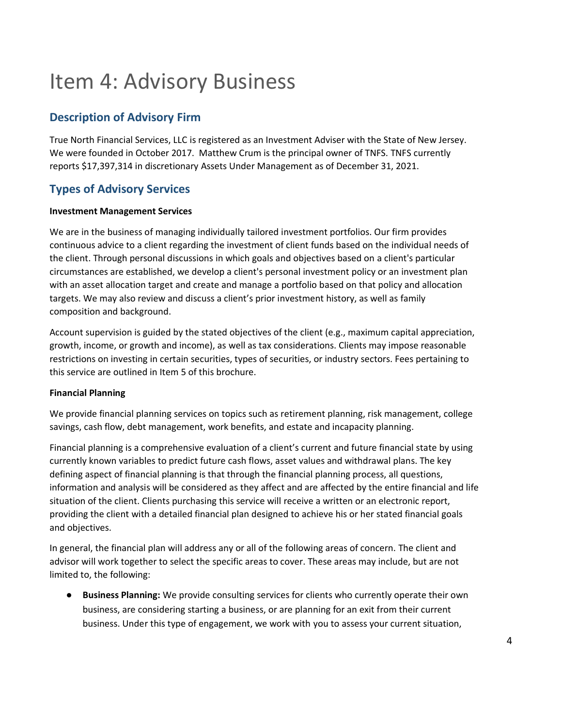## <span id="page-3-0"></span>Item 4: Advisory Business

## **Description of Advisory Firm**

True North Financial Services, LLC is registered as an Investment Adviser with the State of New Jersey. We were founded in October 2017. Matthew Crum is the principal owner of TNFS. TNFS currently reports \$17,397,314 in discretionary Assets Under Management as of December 31, 2021.

## **Types of Advisory Services**

#### **Investment Management Services**

We are in the business of managing individually tailored investment portfolios. Our firm provides continuous advice to a client regarding the investment of client funds based on the individual needs of the client. Through personal discussions in which goals and objectives based on a client's particular circumstances are established, we develop a client's personal investment policy or an investment plan with an asset allocation target and create and manage a portfolio based on that policy and allocation targets. We may also review and discuss a client's prior investment history, as well as family composition and background.

Account supervision is guided by the stated objectives of the client (e.g., maximum capital appreciation, growth, income, or growth and income), as well as tax considerations. Clients may impose reasonable restrictions on investing in certain securities, types of securities, or industry sectors. Fees pertaining to this service are outlined in Item 5 of this brochure.

#### **Financial Planning**

We provide financial planning services on topics such as retirement planning, risk management, college savings, cash flow, debt management, work benefits, and estate and incapacity planning.

Financial planning is a comprehensive evaluation of a client's current and future financial state by using currently known variables to predict future cash flows, asset values and withdrawal plans. The key defining aspect of financial planning is that through the financial planning process, all questions, information and analysis will be considered as they affect and are affected by the entire financial and life situation of the client. Clients purchasing this service will receive a written or an electronic report, providing the client with a detailed financial plan designed to achieve his or her stated financial goals and objectives.

In general, the financial plan will address any or all of the following areas of concern. The client and advisor will work together to select the specific areas to cover. These areas may include, but are not limited to, the following:

● **Business Planning:** We provide consulting services for clients who currently operate their own business, are considering starting a business, or are planning for an exit from their current business. Under this type of engagement, we work with you to assess your current situation,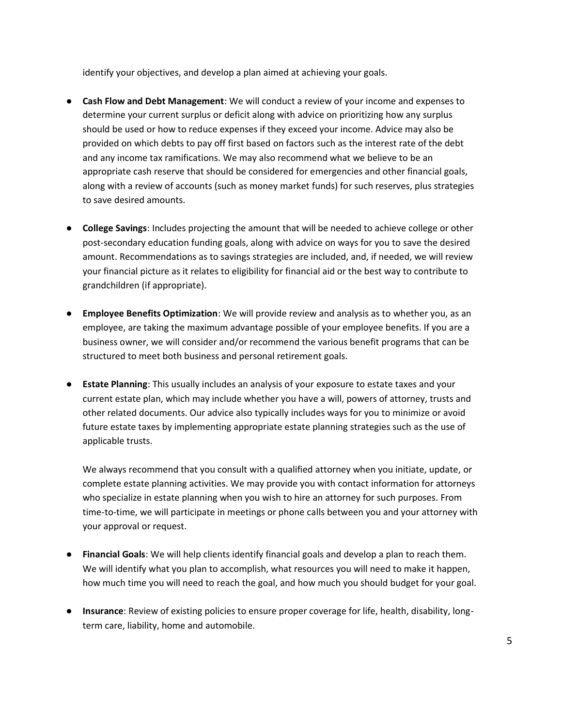identify your objectives, and develop a plan aimed at achieving your goals.

- **Cash Flow and Debt Management**: We will conduct a review of your income and expenses to determine your current surplus or deficit along with advice on prioritizing how any surplus should be used or how to reduce expenses if they exceed your income. Advice may also be provided on which debts to pay off first based on factors such as the interest rate of the debt and any income tax ramifications. We may also recommend what we believe to be an appropriate cash reserve that should be considered for emergencies and other financial goals, along with a review of accounts (such as money market funds) for such reserves, plus strategies to save desired amounts.
- **College Savings**: Includes projecting the amount that will be needed to achieve college or other post-secondary education funding goals, along with advice on ways for you to save the desired amount. Recommendations as to savings strategies are included, and, if needed, we will review your financial picture as it relates to eligibility for financial aid or the best way to contribute to grandchildren (if appropriate).
- **Employee Benefits Optimization**: We will provide review and analysis as to whether you, as an employee, are taking the maximum advantage possible of your employee benefits. If you are a business owner, we will consider and/or recommend the various benefit programs that can be structured to meet both business and personal retirement goals.
- **Estate Planning**: This usually includes an analysis of your exposure to estate taxes and your current estate plan, which may include whether you have a will, powers of attorney, trusts and other related documents. Our advice also typically includes ways for you to minimize or avoid future estate taxes by implementing appropriate estate planning strategies such as the use of applicable trusts.

We always recommend that you consult with a qualified attorney when you initiate, update, or complete estate planning activities. We may provide you with contact information for attorneys who specialize in estate planning when you wish to hire an attorney for such purposes. From time-to-time, we will participate in meetings or phone calls between you and your attorney with your approval or request.

- **Financial Goals**: We will help clients identify financial goals and develop a plan to reach them. We will identify what you plan to accomplish, what resources you will need to make it happen, how much time you will need to reach the goal, and how much you should budget for your goal.
- **Insurance**: Review of existing policies to ensure proper coverage for life, health, disability, longterm care, liability, home and automobile.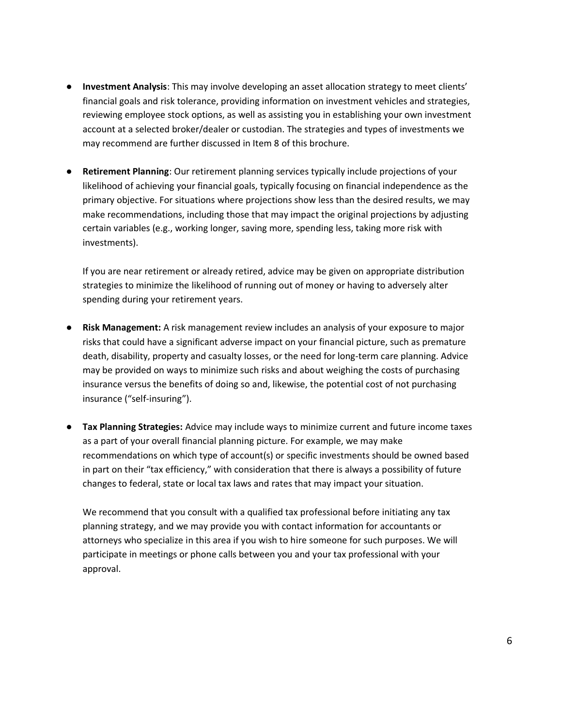- **Investment Analysis**: This may involve developing an asset allocation strategy to meet clients' financial goals and risk tolerance, providing information on investment vehicles and strategies, reviewing employee stock options, as well as assisting you in establishing your own investment account at a selected broker/dealer or custodian. The strategies and types of investments we may recommend are further discussed in Item 8 of this brochure.
- Retirement Planning: Our retirement planning services typically include projections of your likelihood of achieving your financial goals, typically focusing on financial independence as the primary objective. For situations where projections show less than the desired results, we may make recommendations, including those that may impact the original projections by adjusting certain variables (e.g., working longer, saving more, spending less, taking more risk with investments).

If you are near retirement or already retired, advice may be given on appropriate distribution strategies to minimize the likelihood of running out of money or having to adversely alter spending during your retirement years.

- **Risk Management:** A risk management review includes an analysis of your exposure to major risks that could have a significant adverse impact on your financial picture, such as premature death, disability, property and casualty losses, or the need for long‐term care planning. Advice may be provided on ways to minimize such risks and about weighing the costs of purchasing insurance versus the benefits of doing so and, likewise, the potential cost of not purchasing insurance ("self‐insuring").
- **Tax Planning Strategies:** Advice may include ways to minimize current and future income taxes as a part of your overall financial planning picture. For example, we may make recommendations on which type of account(s) or specific investments should be owned based in part on their "tax efficiency," with consideration that there is always a possibility of future changes to federal, state or local tax laws and rates that may impact your situation.

We recommend that you consult with a qualified tax professional before initiating any tax planning strategy, and we may provide you with contact information for accountants or attorneys who specialize in this area if you wish to hire someone for such purposes. We will participate in meetings or phone calls between you and your tax professional with your approval.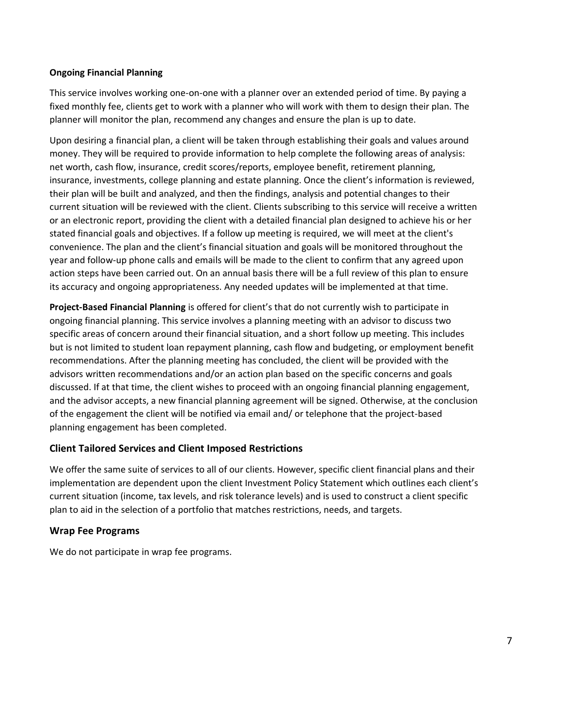#### **Ongoing Financial Planning**

This service involves working one-on-one with a planner over an extended period of time. By paying a fixed monthly fee, clients get to work with a planner who will work with them to design their plan. The planner will monitor the plan, recommend any changes and ensure the plan is up to date.

Upon desiring a financial plan, a client will be taken through establishing their goals and values around money. They will be required to provide information to help complete the following areas of analysis: net worth, cash flow, insurance, credit scores/reports, employee benefit, retirement planning, insurance, investments, college planning and estate planning. Once the client's information is reviewed, their plan will be built and analyzed, and then the findings, analysis and potential changes to their current situation will be reviewed with the client. Clients subscribing to this service will receive a written or an electronic report, providing the client with a detailed financial plan designed to achieve his or her stated financial goals and objectives. If a follow up meeting is required, we will meet at the client's convenience. The plan and the client's financial situation and goals will be monitored throughout the year and follow-up phone calls and emails will be made to the client to confirm that any agreed upon action steps have been carried out. On an annual basis there will be a full review of this plan to ensure its accuracy and ongoing appropriateness. Any needed updates will be implemented at that time.

**Project-Based Financial Planning** is offered for client's that do not currently wish to participate in ongoing financial planning. This service involves a planning meeting with an advisor to discuss two specific areas of concern around their financial situation, and a short follow up meeting. This includes but is not limited to student loan repayment planning, cash flow and budgeting, or employment benefit recommendations. After the planning meeting has concluded, the client will be provided with the advisors written recommendations and/or an action plan based on the specific concerns and goals discussed. If at that time, the client wishes to proceed with an ongoing financial planning engagement, and the advisor accepts, a new financial planning agreement will be signed. Otherwise, at the conclusion of the engagement the client will be notified via email and/ or telephone that the project-based planning engagement has been completed.

#### **Client Tailored Services and Client Imposed Restrictions**

We offer the same suite of services to all of our clients. However, specific client financial plans and their implementation are dependent upon the client Investment Policy Statement which outlines each client's current situation (income, tax levels, and risk tolerance levels) and is used to construct a client specific plan to aid in the selection of a portfolio that matches restrictions, needs, and targets.

#### **Wrap Fee Programs**

We do not participate in wrap fee programs.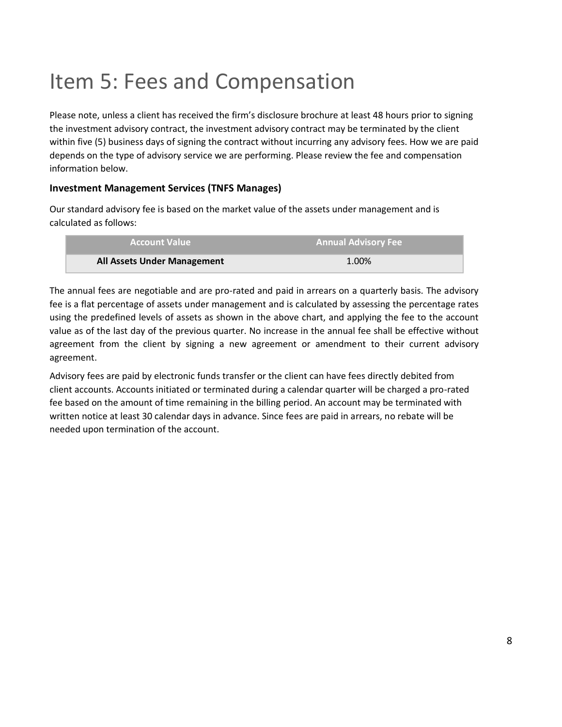## <span id="page-7-0"></span>Item 5: Fees and Compensation

Please note, unless a client has received the firm's disclosure brochure at least 48 hours prior to signing the investment advisory contract, the investment advisory contract may be terminated by the client within five (5) business days of signing the contract without incurring any advisory fees. How we are paid depends on the type of advisory service we are performing. Please review the fee and compensation information below.

#### **Investment Management Services (TNFS Manages)**

Our standard advisory fee is based on the market value of the assets under management and is calculated as follows:

| <b>Account Value</b>        | <b>Annual Advisory Fee</b> |
|-----------------------------|----------------------------|
| All Assets Under Management | 1.00%                      |

The annual fees are negotiable and are pro-rated and paid in arrears on a quarterly basis. The advisory fee is a flat percentage of assets under management and is calculated by assessing the percentage rates using the predefined levels of assets as shown in the above chart, and applying the fee to the account value as of the last day of the previous quarter. No increase in the annual fee shall be effective without agreement from the client by signing a new agreement or amendment to their current advisory agreement.

Advisory fees are paid by electronic funds transfer or the client can have fees directly debited from client accounts. Accounts initiated or terminated during a calendar quarter will be charged a pro-rated fee based on the amount of time remaining in the billing period. An account may be terminated with written notice at least 30 calendar days in advance. Since fees are paid in arrears, no rebate will be needed upon termination of the account.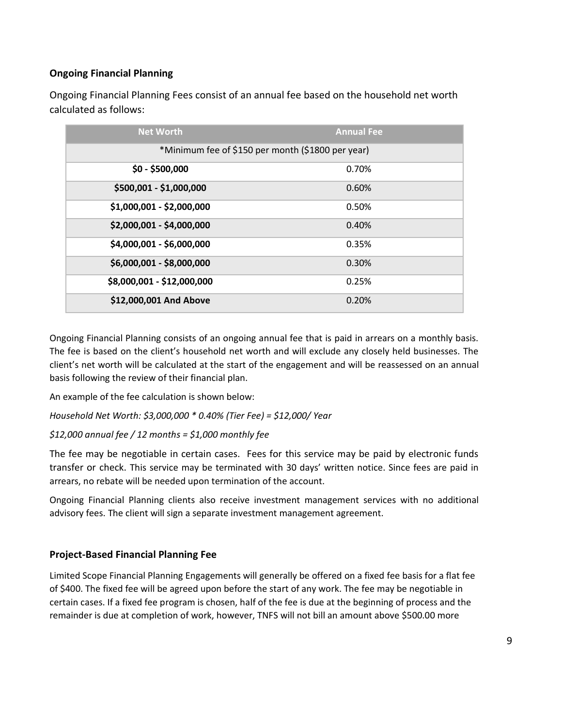#### **Ongoing Financial Planning**

Ongoing Financial Planning Fees consist of an annual fee based on the household net worth calculated as follows:

| <b>Net Worth</b>                                  | <b>Annual Fee</b> |  |
|---------------------------------------------------|-------------------|--|
| *Minimum fee of \$150 per month (\$1800 per year) |                   |  |
| $$0 - $500,000$                                   | 0.70%             |  |
| \$500,001 - \$1,000,000                           | 0.60%             |  |
| \$1,000,001 - \$2,000,000                         | 0.50%             |  |
| \$2,000,001 - \$4,000,000                         | 0.40%             |  |
| \$4,000,001 - \$6,000,000                         | 0.35%             |  |
| \$6,000,001 - \$8,000,000                         | 0.30%             |  |
| \$8,000,001 - \$12,000,000                        | 0.25%             |  |
| \$12,000,001 And Above                            | 0.20%             |  |

Ongoing Financial Planning consists of an ongoing annual fee that is paid in arrears on a monthly basis. The fee is based on the client's household net worth and will exclude any closely held businesses. The client's net worth will be calculated at the start of the engagement and will be reassessed on an annual basis following the review of their financial plan.

An example of the fee calculation is shown below:

*Household Net Worth: \$3,000,000 \* 0.40% (Tier Fee) = \$12,000/ Year*

*\$12,000 annual fee / 12 months = \$1,000 monthly fee*

The fee may be negotiable in certain cases. Fees for this service may be paid by electronic funds transfer or check. This service may be terminated with 30 days' written notice. Since fees are paid in arrears, no rebate will be needed upon termination of the account.

Ongoing Financial Planning clients also receive investment management services with no additional advisory fees. The client will sign a separate investment management agreement.

#### **Project-Based Financial Planning Fee**

Limited Scope Financial Planning Engagements will generally be offered on a fixed fee basis for a flat fee of \$400. The fixed fee will be agreed upon before the start of any work. The fee may be negotiable in certain cases. If a fixed fee program is chosen, half of the fee is due at the beginning of process and the remainder is due at completion of work, however, TNFS will not bill an amount above \$500.00 more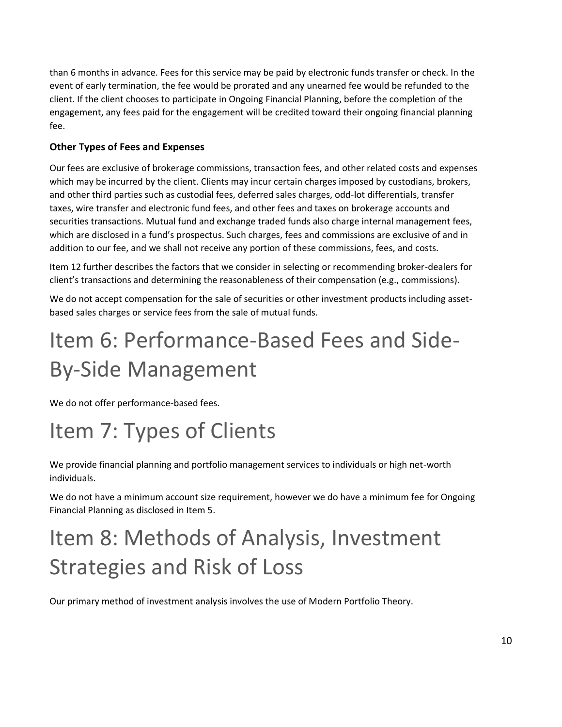than 6 months in advance. Fees for this service may be paid by electronic funds transfer or check. In the event of early termination, the fee would be prorated and any unearned fee would be refunded to the client. If the client chooses to participate in Ongoing Financial Planning, before the completion of the engagement, any fees paid for the engagement will be credited toward their ongoing financial planning fee.

#### **Other Types of Fees and Expenses**

Our fees are exclusive of brokerage commissions, transaction fees, and other related costs and expenses which may be incurred by the client. Clients may incur certain charges imposed by custodians, brokers, and other third parties such as custodial fees, deferred sales charges, odd-lot differentials, transfer taxes, wire transfer and electronic fund fees, and other fees and taxes on brokerage accounts and securities transactions. Mutual fund and exchange traded funds also charge internal management fees, which are disclosed in a fund's prospectus. Such charges, fees and commissions are exclusive of and in addition to our fee, and we shall not receive any portion of these commissions, fees, and costs.

Item 12 further describes the factors that we consider in selecting or recommending broker-dealers for client's transactions and determining the reasonableness of their compensation (e.g., commissions).

We do not accept compensation for the sale of securities or other investment products including assetbased sales charges or service fees from the sale of mutual funds.

# <span id="page-9-0"></span>Item 6: Performance-Based Fees and Side-By-Side Management

We do not offer performance-based fees.

## <span id="page-9-1"></span>Item 7: Types of Clients

We provide financial planning and portfolio management services to individuals or high net-worth individuals.

We do not have a minimum account size requirement, however we do have a minimum fee for Ongoing Financial Planning as disclosed in Item 5.

# <span id="page-9-2"></span>Item 8: Methods of Analysis, Investment Strategies and Risk of Loss

Our primary method of investment analysis involves the use of Modern Portfolio Theory.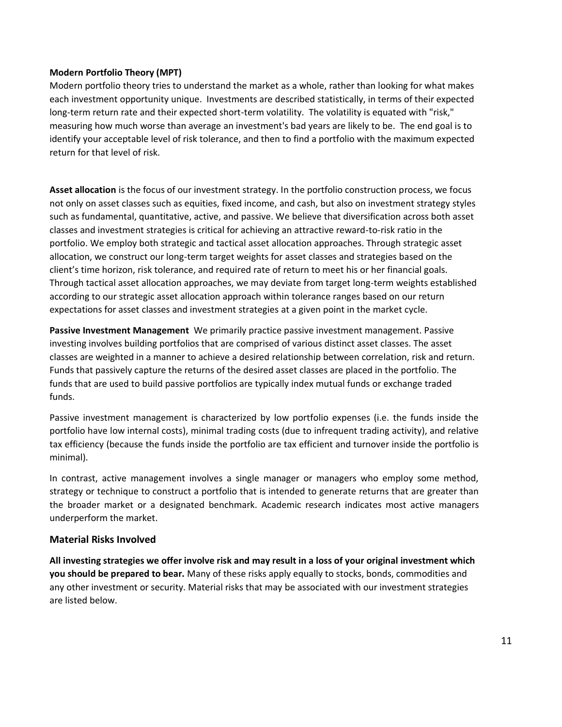#### **Modern Portfolio Theory (MPT)**

Modern portfolio theory tries to understand the market as a whole, rather than looking for what makes each investment opportunity unique. Investments are described statistically, in terms of their expected long-term return rate and their expected short-term volatility. The volatility is equated with "risk," measuring how much worse than average an investment's bad years are likely to be. The end goal is to identify your acceptable level of risk tolerance, and then to find a portfolio with the maximum expected return for that level of risk.

**Asset allocation** is the focus of our investment strategy. In the portfolio construction process, we focus not only on asset classes such as equities, fixed income, and cash, but also on investment strategy styles such as fundamental, quantitative, active, and passive. We believe that diversification across both asset classes and investment strategies is critical for achieving an attractive reward-to-risk ratio in the portfolio. We employ both strategic and tactical asset allocation approaches. Through strategic asset allocation, we construct our long-term target weights for asset classes and strategies based on the client's time horizon, risk tolerance, and required rate of return to meet his or her financial goals. Through tactical asset allocation approaches, we may deviate from target long-term weights established according to our strategic asset allocation approach within tolerance ranges based on our return expectations for asset classes and investment strategies at a given point in the market cycle.

**Passive Investment Management** We primarily practice passive investment management. Passive investing involves building portfolios that are comprised of various distinct asset classes. The asset classes are weighted in a manner to achieve a desired relationship between correlation, risk and return. Funds that passively capture the returns of the desired asset classes are placed in the portfolio. The funds that are used to build passive portfolios are typically index mutual funds or exchange traded funds.

Passive investment management is characterized by low portfolio expenses (i.e. the funds inside the portfolio have low internal costs), minimal trading costs (due to infrequent trading activity), and relative tax efficiency (because the funds inside the portfolio are tax efficient and turnover inside the portfolio is minimal).

In contrast, active management involves a single manager or managers who employ some method, strategy or technique to construct a portfolio that is intended to generate returns that are greater than the broader market or a designated benchmark. Academic research indicates most active managers underperform the market.

#### **Material Risks Involved**

**All investing strategies we offer involve risk and may result in a loss of your original investment which you should be prepared to bear.** Many of these risks apply equally to stocks, bonds, commodities and any other investment or security. Material risks that may be associated with our investment strategies are listed below.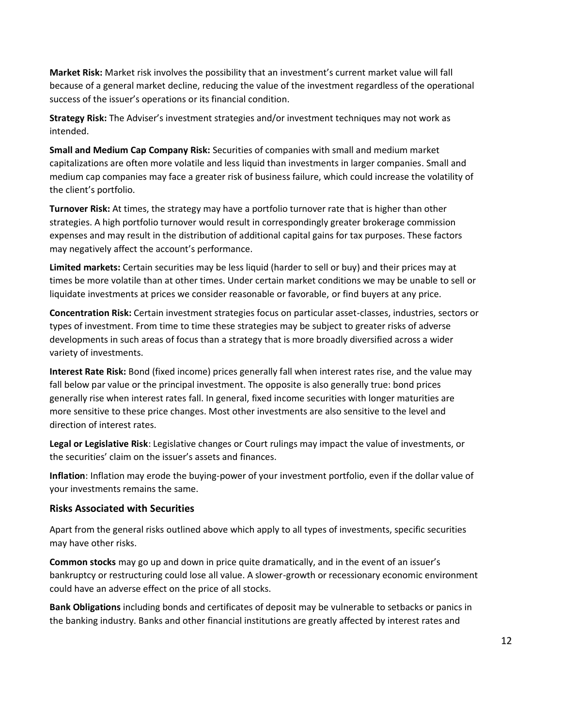**Market Risk:** Market risk involves the possibility that an investment's current market value will fall because of a general market decline, reducing the value of the investment regardless of the operational success of the issuer's operations or its financial condition.

**Strategy Risk:** The Adviser's investment strategies and/or investment techniques may not work as intended.

**Small and Medium Cap Company Risk:** Securities of companies with small and medium market capitalizations are often more volatile and less liquid than investments in larger companies. Small and medium cap companies may face a greater risk of business failure, which could increase the volatility of the client's portfolio.

**Turnover Risk:** At times, the strategy may have a portfolio turnover rate that is higher than other strategies. A high portfolio turnover would result in correspondingly greater brokerage commission expenses and may result in the distribution of additional capital gains for tax purposes. These factors may negatively affect the account's performance.

**Limited markets:** Certain securities may be less liquid (harder to sell or buy) and their prices may at times be more volatile than at other times. Under certain market conditions we may be unable to sell or liquidate investments at prices we consider reasonable or favorable, or find buyers at any price.

**Concentration Risk:** Certain investment strategies focus on particular asset-classes, industries, sectors or types of investment. From time to time these strategies may be subject to greater risks of adverse developments in such areas of focus than a strategy that is more broadly diversified across a wider variety of investments.

**Interest Rate Risk:** Bond (fixed income) prices generally fall when interest rates rise, and the value may fall below par value or the principal investment. The opposite is also generally true: bond prices generally rise when interest rates fall. In general, fixed income securities with longer maturities are more sensitive to these price changes. Most other investments are also sensitive to the level and direction of interest rates.

**Legal or Legislative Risk**: Legislative changes or Court rulings may impact the value of investments, or the securities' claim on the issuer's assets and finances.

**Inflation**: Inflation may erode the buying-power of your investment portfolio, even if the dollar value of your investments remains the same.

#### **Risks Associated with Securities**

Apart from the general risks outlined above which apply to all types of investments, specific securities may have other risks.

**Common stocks** may go up and down in price quite dramatically, and in the event of an issuer's bankruptcy or restructuring could lose all value. A slower-growth or recessionary economic environment could have an adverse effect on the price of all stocks.

**Bank Obligations** including bonds and certificates of deposit may be vulnerable to setbacks or panics in the banking industry. Banks and other financial institutions are greatly affected by interest rates and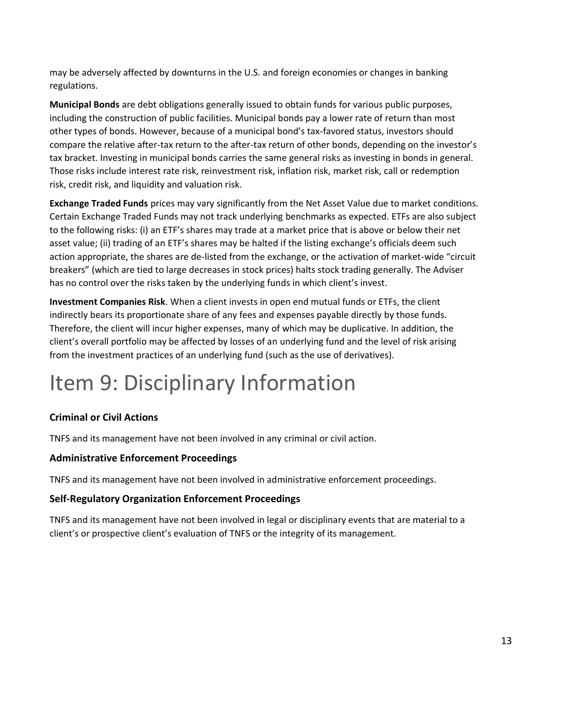may be adversely affected by downturns in the U.S. and foreign economies or changes in banking regulations.

**Municipal Bonds** are debt obligations generally issued to obtain funds for various public purposes, including the construction of public facilities. Municipal bonds pay a lower rate of return than most other types of bonds. However, because of a municipal bond's tax-favored status, investors should compare the relative after-tax return to the after-tax return of other bonds, depending on the investor's tax bracket. Investing in municipal bonds carries the same general risks as investing in bonds in general. Those risks include interest rate risk, reinvestment risk, inflation risk, market risk, call or redemption risk, credit risk, and liquidity and valuation risk.

**Exchange Traded Funds** prices may vary significantly from the Net Asset Value due to market conditions. Certain Exchange Traded Funds may not track underlying benchmarks as expected. ETFs are also subject to the following risks: (i) an ETF's shares may trade at a market price that is above or below their net asset value; (ii) trading of an ETF's shares may be halted if the listing exchange's officials deem such action appropriate, the shares are de-listed from the exchange, or the activation of market-wide "circuit breakers" (which are tied to large decreases in stock prices) halts stock trading generally. The Adviser has no control over the risks taken by the underlying funds in which client's invest.

**Investment Companies Risk**. When a client invests in open end mutual funds or ETFs, the client indirectly bears its proportionate share of any fees and expenses payable directly by those funds. Therefore, the client will incur higher expenses, many of which may be duplicative. In addition, the client's overall portfolio may be affected by losses of an underlying fund and the level of risk arising from the investment practices of an underlying fund (such as the use of derivatives).

## <span id="page-12-0"></span>Item 9: Disciplinary Information

#### **Criminal or Civil Actions**

TNFS and its management have not been involved in any criminal or civil action.

#### **Administrative Enforcement Proceedings**

TNFS and its management have not been involved in administrative enforcement proceedings.

#### **Self-Regulatory Organization Enforcement Proceedings**

TNFS and its management have not been involved in legal or disciplinary events that are material to a client's or prospective client's evaluation of TNFS or the integrity of its management.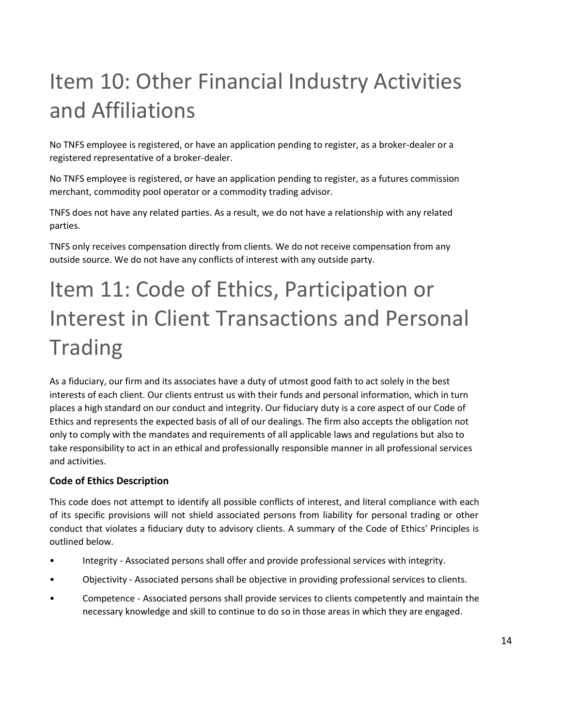# <span id="page-13-0"></span>Item 10: Other Financial Industry Activities and Affiliations

No TNFS employee is registered, or have an application pending to register, as a broker-dealer or a registered representative of a broker-dealer.

No TNFS employee is registered, or have an application pending to register, as a futures commission merchant, commodity pool operator or a commodity trading advisor.

TNFS does not have any related parties. As a result, we do not have a relationship with any related parties.

TNFS only receives compensation directly from clients. We do not receive compensation from any outside source. We do not have any conflicts of interest with any outside party.

# <span id="page-13-1"></span>Item 11: Code of Ethics, Participation or Interest in Client Transactions and Personal Trading

As a fiduciary, our firm and its associates have a duty of utmost good faith to act solely in the best interests of each client. Our clients entrust us with their funds and personal information, which in turn places a high standard on our conduct and integrity. Our fiduciary duty is a core aspect of our Code of Ethics and represents the expected basis of all of our dealings. The firm also accepts the obligation not only to comply with the mandates and requirements of all applicable laws and regulations but also to take responsibility to act in an ethical and professionally responsible manner in all professional services and activities.

#### **Code of Ethics Description**

This code does not attempt to identify all possible conflicts of interest, and literal compliance with each of its specific provisions will not shield associated persons from liability for personal trading or other conduct that violates a fiduciary duty to advisory clients. A summary of the Code of Ethics' Principles is outlined below.

- Integrity Associated persons shall offer and provide professional services with integrity.
- Objectivity Associated persons shall be objective in providing professional services to clients.
- Competence Associated persons shall provide services to clients competently and maintain the necessary knowledge and skill to continue to do so in those areas in which they are engaged.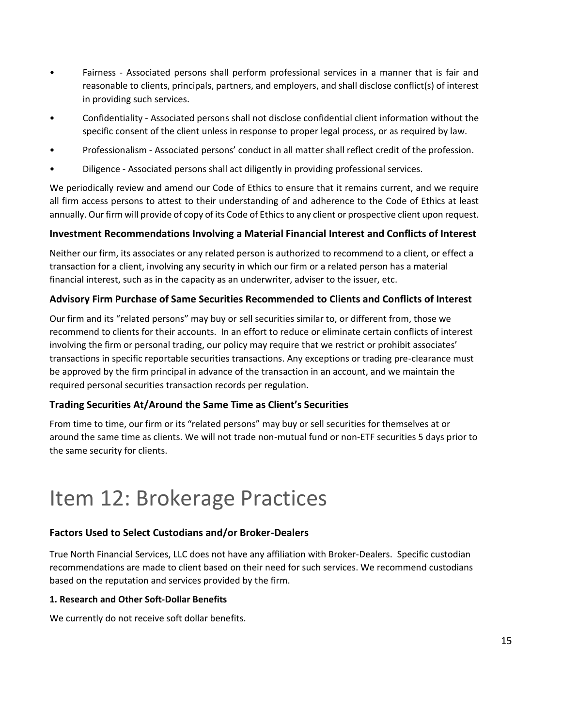- Fairness Associated persons shall perform professional services in a manner that is fair and reasonable to clients, principals, partners, and employers, and shall disclose conflict(s) of interest in providing such services.
- Confidentiality Associated persons shall not disclose confidential client information without the specific consent of the client unless in response to proper legal process, or as required by law.
- Professionalism Associated persons' conduct in all matter shall reflect credit of the profession.
- Diligence Associated persons shall act diligently in providing professional services.

We periodically review and amend our Code of Ethics to ensure that it remains current, and we require all firm access persons to attest to their understanding of and adherence to the Code of Ethics at least annually. Our firm will provide of copy of its Code of Ethics to any client or prospective client upon request.

#### **Investment Recommendations Involving a Material Financial Interest and Conflicts of Interest**

Neither our firm, its associates or any related person is authorized to recommend to a client, or effect a transaction for a client, involving any security in which our firm or a related person has a material financial interest, such as in the capacity as an underwriter, adviser to the issuer, etc.

#### **Advisory Firm Purchase of Same Securities Recommended to Clients and Conflicts of Interest**

Our firm and its "related persons" may buy or sell securities similar to, or different from, those we recommend to clients for their accounts. In an effort to reduce or eliminate certain conflicts of interest involving the firm or personal trading, our policy may require that we restrict or prohibit associates' transactions in specific reportable securities transactions. Any exceptions or trading pre-clearance must be approved by the firm principal in advance of the transaction in an account, and we maintain the required personal securities transaction records per regulation.

#### **Trading Securities At/Around the Same Time as Client's Securities**

From time to time, our firm or its "related persons" may buy or sell securities for themselves at or around the same time as clients. We will not trade non-mutual fund or non-ETF securities 5 days prior to the same security for clients.

## <span id="page-14-0"></span>Item 12: Brokerage Practices

#### **Factors Used to Select Custodians and/or Broker-Dealers**

True North Financial Services, LLC does not have any affiliation with Broker-Dealers. Specific custodian recommendations are made to client based on their need for such services. We recommend custodians based on the reputation and services provided by the firm.

#### **1. Research and Other Soft-Dollar Benefits**

We currently do not receive soft dollar benefits.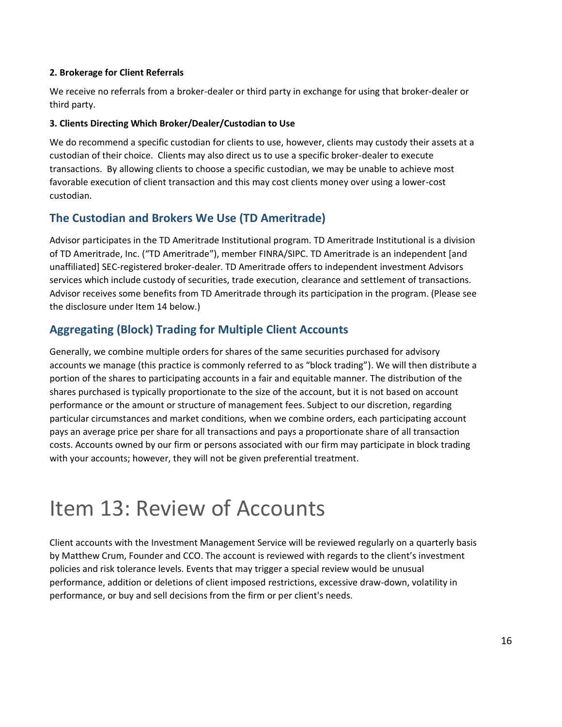#### **2. Brokerage for Client Referrals**

We receive no referrals from a broker-dealer or third party in exchange for using that broker-dealer or third party.

#### **3. Clients Directing Which Broker/Dealer/Custodian to Use**

We do recommend a specific custodian for clients to use, however, clients may custody their assets at a custodian of their choice. Clients may also direct us to use a specific broker-dealer to execute transactions. By allowing clients to choose a specific custodian, we may be unable to achieve most favorable execution of client transaction and this may cost clients money over using a lower-cost custodian.

### **The Custodian and Brokers We Use (TD Ameritrade)**

Advisor participates in the TD Ameritrade Institutional program. TD Ameritrade Institutional is a division of TD Ameritrade, Inc. ("TD Ameritrade"), member FINRA/SIPC. TD Ameritrade is an independent [and unaffiliated] SEC-registered broker-dealer. TD Ameritrade offers to independent investment Advisors services which include custody of securities, trade execution, clearance and settlement of transactions. Advisor receives some benefits from TD Ameritrade through its participation in the program. (Please see the disclosure under Item 14 below.)

## **Aggregating (Block) Trading for Multiple Client Accounts**

Generally, we combine multiple orders for shares of the same securities purchased for advisory accounts we manage (this practice is commonly referred to as "block trading"). We will then distribute a portion of the shares to participating accounts in a fair and equitable manner. The distribution of the shares purchased is typically proportionate to the size of the account, but it is not based on account performance or the amount or structure of management fees. Subject to our discretion, regarding particular circumstances and market conditions, when we combine orders, each participating account pays an average price per share for all transactions and pays a proportionate share of all transaction costs. Accounts owned by our firm or persons associated with our firm may participate in block trading with your accounts; however, they will not be given preferential treatment.

## <span id="page-15-0"></span>Item 13: Review of Accounts

Client accounts with the Investment Management Service will be reviewed regularly on a quarterly basis by Matthew Crum, Founder and CCO. The account is reviewed with regards to the client's investment policies and risk tolerance levels. Events that may trigger a special review would be unusual performance, addition or deletions of client imposed restrictions, excessive draw-down, volatility in performance, or buy and sell decisions from the firm or per client's needs.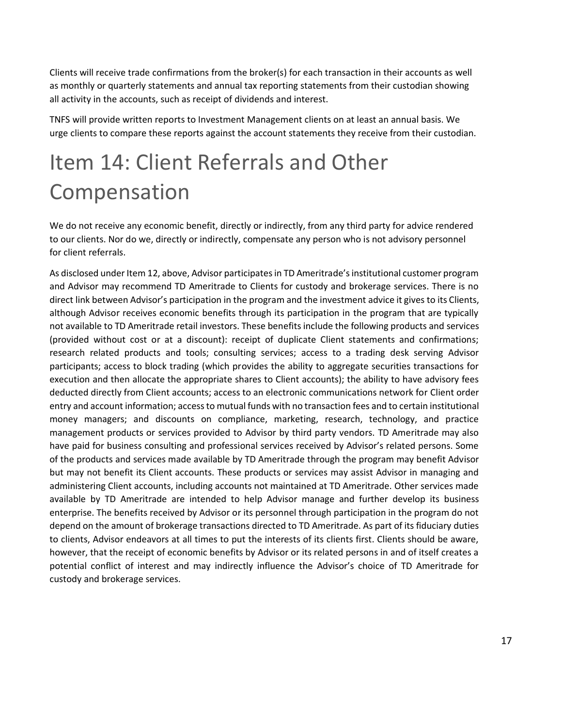Clients will receive trade confirmations from the broker(s) for each transaction in their accounts as well as monthly or quarterly statements and annual tax reporting statements from their custodian showing all activity in the accounts, such as receipt of dividends and interest.

TNFS will provide written reports to Investment Management clients on at least an annual basis. We urge clients to compare these reports against the account statements they receive from their custodian.

## <span id="page-16-0"></span>Item 14: Client Referrals and Other Compensation

We do not receive any economic benefit, directly or indirectly, from any third party for advice rendered to our clients. Nor do we, directly or indirectly, compensate any person who is not advisory personnel for client referrals.

As disclosed under Item 12, above, Advisor participates in TD Ameritrade's institutional customer program and Advisor may recommend TD Ameritrade to Clients for custody and brokerage services. There is no direct link between Advisor's participation in the program and the investment advice it gives to its Clients, although Advisor receives economic benefits through its participation in the program that are typically not available to TD Ameritrade retail investors. These benefits include the following products and services (provided without cost or at a discount): receipt of duplicate Client statements and confirmations; research related products and tools; consulting services; access to a trading desk serving Advisor participants; access to block trading (which provides the ability to aggregate securities transactions for execution and then allocate the appropriate shares to Client accounts); the ability to have advisory fees deducted directly from Client accounts; access to an electronic communications network for Client order entry and account information; access to mutual funds with no transaction fees and to certain institutional money managers; and discounts on compliance, marketing, research, technology, and practice management products or services provided to Advisor by third party vendors. TD Ameritrade may also have paid for business consulting and professional services received by Advisor's related persons. Some of the products and services made available by TD Ameritrade through the program may benefit Advisor but may not benefit its Client accounts. These products or services may assist Advisor in managing and administering Client accounts, including accounts not maintained at TD Ameritrade. Other services made available by TD Ameritrade are intended to help Advisor manage and further develop its business enterprise. The benefits received by Advisor or its personnel through participation in the program do not depend on the amount of brokerage transactions directed to TD Ameritrade. As part of its fiduciary duties to clients, Advisor endeavors at all times to put the interests of its clients first. Clients should be aware, however, that the receipt of economic benefits by Advisor or its related persons in and of itself creates a potential conflict of interest and may indirectly influence the Advisor's choice of TD Ameritrade for custody and brokerage services.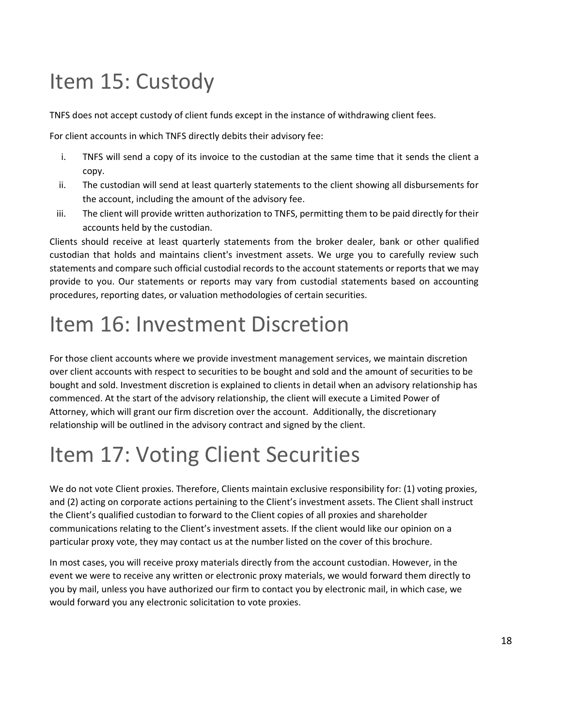# <span id="page-17-0"></span>Item 15: Custody

TNFS does not accept custody of client funds except in the instance of withdrawing client fees.

For client accounts in which TNFS directly debits their advisory fee:

- i. TNFS will send a copy of its invoice to the custodian at the same time that it sends the client a copy.
- ii. The custodian will send at least quarterly statements to the client showing all disbursements for the account, including the amount of the advisory fee.
- iii. The client will provide written authorization to TNFS, permitting them to be paid directly for their accounts held by the custodian.

Clients should receive at least quarterly statements from the broker dealer, bank or other qualified custodian that holds and maintains client's investment assets. We urge you to carefully review such statements and compare such official custodial records to the account statements or reports that we may provide to you. Our statements or reports may vary from custodial statements based on accounting procedures, reporting dates, or valuation methodologies of certain securities.

## <span id="page-17-1"></span>Item 16: Investment Discretion

For those client accounts where we provide investment management services, we maintain discretion over client accounts with respect to securities to be bought and sold and the amount of securities to be bought and sold. Investment discretion is explained to clients in detail when an advisory relationship has commenced. At the start of the advisory relationship, the client will execute a Limited Power of Attorney, which will grant our firm discretion over the account. Additionally, the discretionary relationship will be outlined in the advisory contract and signed by the client.

# <span id="page-17-2"></span>Item 17: Voting Client Securities

We do not vote Client proxies. Therefore, Clients maintain exclusive responsibility for: (1) voting proxies, and (2) acting on corporate actions pertaining to the Client's investment assets. The Client shall instruct the Client's qualified custodian to forward to the Client copies of all proxies and shareholder communications relating to the Client's investment assets. If the client would like our opinion on a particular proxy vote, they may contact us at the number listed on the cover of this brochure.

In most cases, you will receive proxy materials directly from the account custodian. However, in the event we were to receive any written or electronic proxy materials, we would forward them directly to you by mail, unless you have authorized our firm to contact you by electronic mail, in which case, we would forward you any electronic solicitation to vote proxies.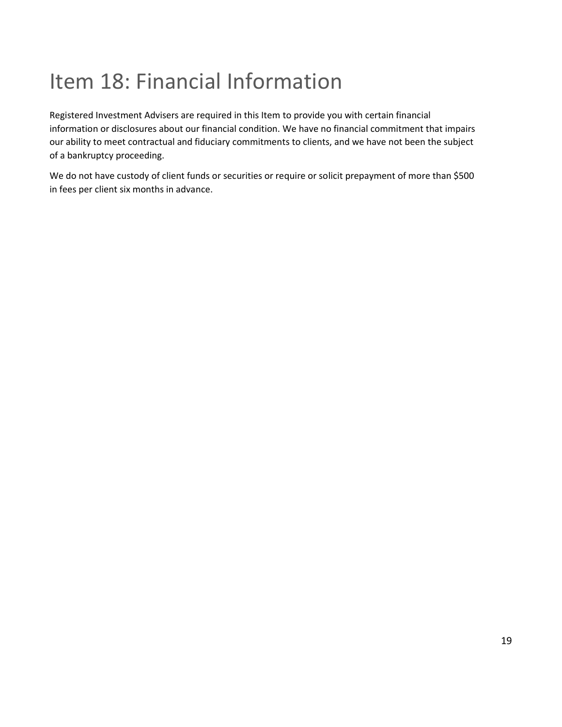# <span id="page-18-0"></span>Item 18: Financial Information

Registered Investment Advisers are required in this Item to provide you with certain financial information or disclosures about our financial condition. We have no financial commitment that impairs our ability to meet contractual and fiduciary commitments to clients, and we have not been the subject of a bankruptcy proceeding.

We do not have custody of client funds or securities or require or solicit prepayment of more than \$500 in fees per client six months in advance.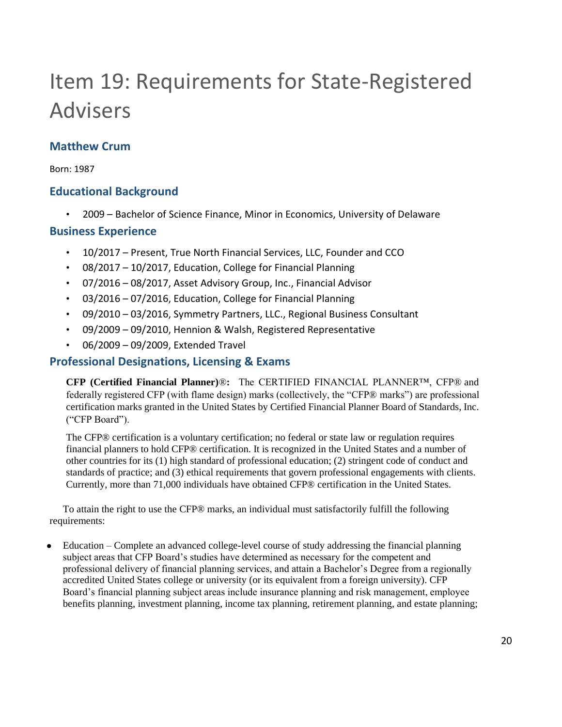# <span id="page-19-0"></span>Item 19: Requirements for State-Registered Advisers

## **Matthew Crum**

Born: 1987

### **Educational Background**

• 2009 – Bachelor of Science Finance, Minor in Economics, University of Delaware

### **Business Experience**

- 10/2017 Present, True North Financial Services, LLC, Founder and CCO
- 08/2017 10/2017, Education, College for Financial Planning
- 07/2016 08/2017, Asset Advisory Group, Inc., Financial Advisor
- 03/2016 07/2016, Education, College for Financial Planning
- 09/2010 03/2016, Symmetry Partners, LLC., Regional Business Consultant
- 09/2009 09/2010, Hennion & Walsh, Registered Representative
- 06/2009 09/2009, Extended Travel

### **Professional Designations, Licensing & Exams**

**CFP (Certified Financial Planner)**®**:** The CERTIFIED FINANCIAL PLANNER™, CFP® and federally registered CFP (with flame design) marks (collectively, the "CFP® marks") are professional certification marks granted in the United States by Certified Financial Planner Board of Standards, Inc. ("CFP Board").

The CFP® certification is a voluntary certification; no federal or state law or regulation requires financial planners to hold CFP® certification. It is recognized in the United States and a number of other countries for its (1) high standard of professional education; (2) stringent code of conduct and standards of practice; and (3) ethical requirements that govern professional engagements with clients. Currently, more than 71,000 individuals have obtained CFP® certification in the United States.

To attain the right to use the CFP® marks, an individual must satisfactorily fulfill the following requirements:

Education – Complete an advanced college-level course of study addressing the financial planning subject areas that CFP Board's studies have determined as necessary for the competent and professional delivery of financial planning services, and attain a Bachelor's Degree from a regionally accredited United States college or university (or its equivalent from a foreign university). CFP Board's financial planning subject areas include insurance planning and risk management, employee benefits planning, investment planning, income tax planning, retirement planning, and estate planning;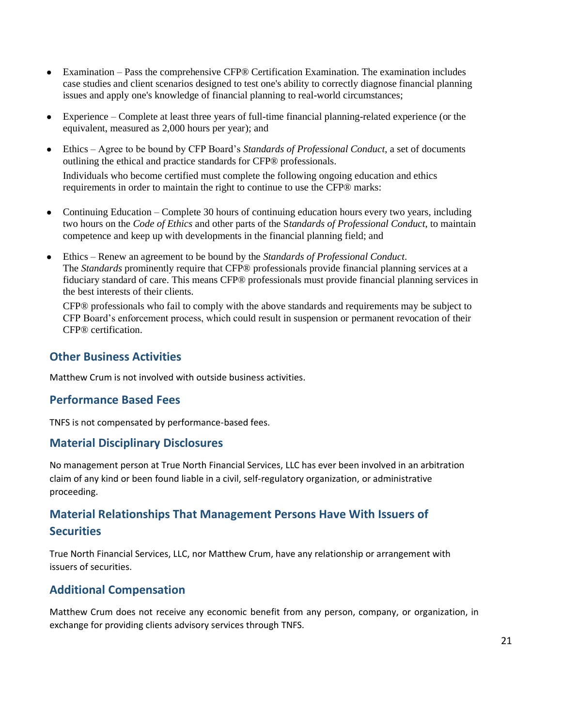- Examination Pass the comprehensive CFP® Certification Examination. The examination includes case studies and client scenarios designed to test one's ability to correctly diagnose financial planning issues and apply one's knowledge of financial planning to real-world circumstances;
- Experience Complete at least three years of full-time financial planning-related experience (or the equivalent, measured as 2,000 hours per year); and
- Ethics Agree to be bound by CFP Board's *Standards of Professional Conduct*, a set of documents outlining the ethical and practice standards for CFP® professionals. Individuals who become certified must complete the following ongoing education and ethics requirements in order to maintain the right to continue to use the CFP® marks:
- Continuing Education Complete 30 hours of continuing education hours every two years, including two hours on the *Code of Ethics* and other parts of the S*tandards of Professional Conduct*, to maintain competence and keep up with developments in the financial planning field; and
- Ethics Renew an agreement to be bound by the *Standards of Professional Conduct*. The *Standards* prominently require that CFP® professionals provide financial planning services at a fiduciary standard of care. This means CFP® professionals must provide financial planning services in the best interests of their clients.

CFP® professionals who fail to comply with the above standards and requirements may be subject to CFP Board's enforcement process, which could result in suspension or permanent revocation of their CFP® certification.

### **Other Business Activities**

Matthew Crum is not involved with outside business activities.

### **Performance Based Fees**

TNFS is not compensated by performance-based fees.

### **Material Disciplinary Disclosures**

No management person at True North Financial Services, LLC has ever been involved in an arbitration claim of any kind or been found liable in a civil, self-regulatory organization, or administrative proceeding.

## **Material Relationships That Management Persons Have With Issuers of Securities**

True North Financial Services, LLC, nor Matthew Crum, have any relationship or arrangement with issuers of securities.

### **Additional Compensation**

Matthew Crum does not receive any economic benefit from any person, company, or organization, in exchange for providing clients advisory services through TNFS.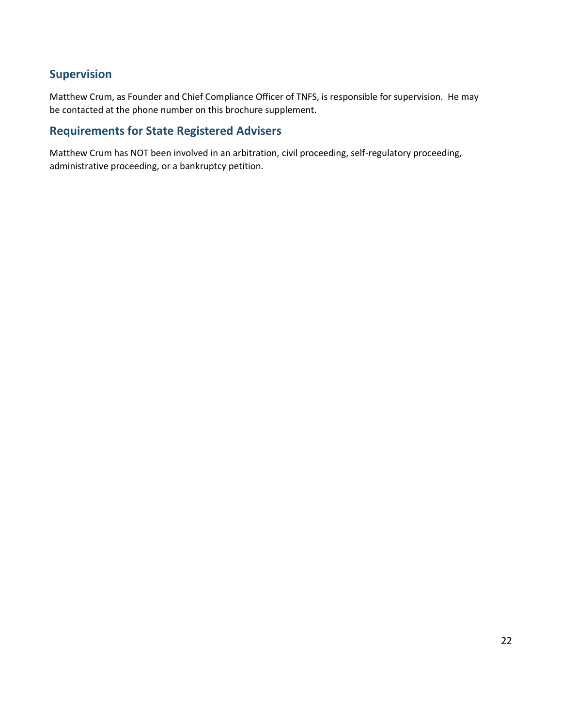### **Supervision**

Matthew Crum, as Founder and Chief Compliance Officer of TNFS, is responsible for supervision. He may be contacted at the phone number on this brochure supplement.

### **Requirements for State Registered Advisers**

Matthew Crum has NOT been involved in an arbitration, civil proceeding, self-regulatory proceeding, administrative proceeding, or a bankruptcy petition.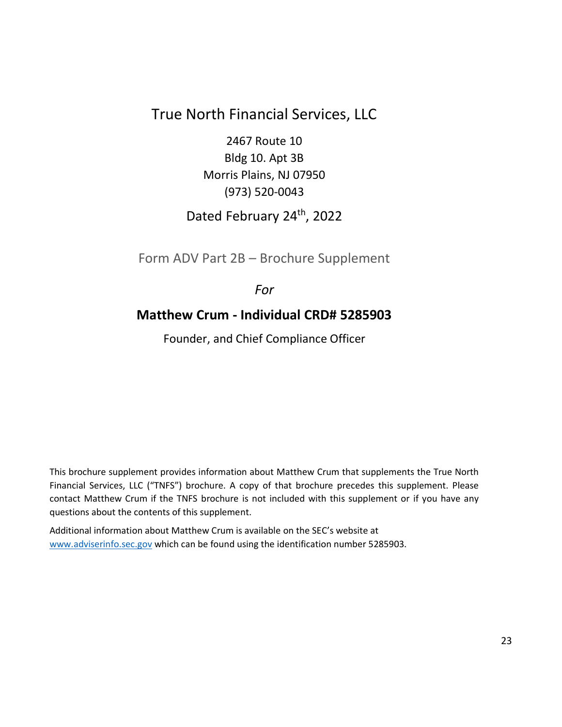## True North Financial Services, LLC

2467 Route 10 Bldg 10. Apt 3B Morris Plains, NJ 07950 (973) 520-0043

## Dated February 24th, 2022

<span id="page-22-0"></span>Form ADV Part 2B – Brochure Supplement

## *For*

## **Matthew Crum - Individual CRD# 5285903**

Founder, and Chief Compliance Officer

This brochure supplement provides information about Matthew Crum that supplements the True North Financial Services, LLC ("TNFS") brochure. A copy of that brochure precedes this supplement. Please contact Matthew Crum if the TNFS brochure is not included with this supplement or if you have any questions about the contents of this supplement.

Additional information about Matthew Crum is available on the SEC's website at [www.adviserinfo.sec.gov](http://www.adviserinfo.sec.gov/) which can be found using the identification number 5285903.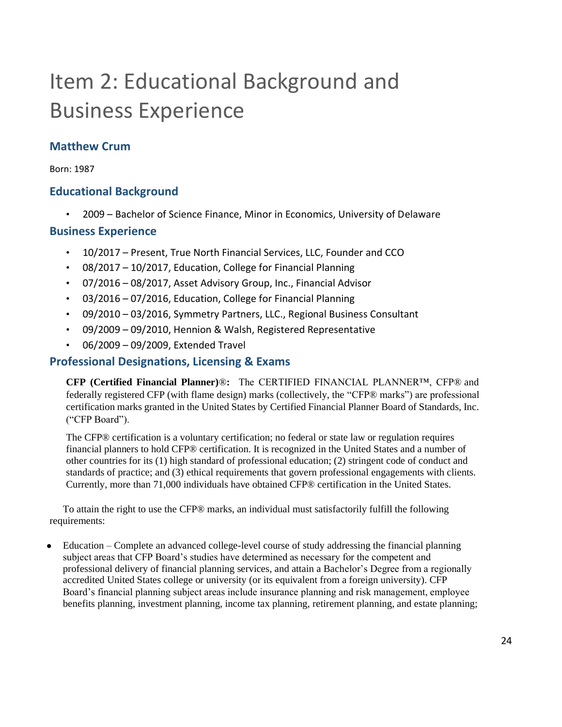# Item 2: Educational Background and Business Experience

## **Matthew Crum**

Born: 1987

### **Educational Background**

• 2009 – Bachelor of Science Finance, Minor in Economics, University of Delaware

### **Business Experience**

- 10/2017 Present, True North Financial Services, LLC, Founder and CCO
- 08/2017 10/2017, Education, College for Financial Planning
- 07/2016 08/2017, Asset Advisory Group, Inc., Financial Advisor
- 03/2016 07/2016, Education, College for Financial Planning
- 09/2010 03/2016, Symmetry Partners, LLC., Regional Business Consultant
- 09/2009 09/2010, Hennion & Walsh, Registered Representative
- 06/2009 09/2009, Extended Travel

### **Professional Designations, Licensing & Exams**

**CFP (Certified Financial Planner)**®**:** The CERTIFIED FINANCIAL PLANNER™, CFP® and federally registered CFP (with flame design) marks (collectively, the "CFP® marks") are professional certification marks granted in the United States by Certified Financial Planner Board of Standards, Inc. ("CFP Board").

The CFP® certification is a voluntary certification; no federal or state law or regulation requires financial planners to hold CFP® certification. It is recognized in the United States and a number of other countries for its (1) high standard of professional education; (2) stringent code of conduct and standards of practice; and (3) ethical requirements that govern professional engagements with clients. Currently, more than 71,000 individuals have obtained CFP® certification in the United States.

To attain the right to use the CFP® marks, an individual must satisfactorily fulfill the following requirements:

Education – Complete an advanced college-level course of study addressing the financial planning subject areas that CFP Board's studies have determined as necessary for the competent and professional delivery of financial planning services, and attain a Bachelor's Degree from a regionally accredited United States college or university (or its equivalent from a foreign university). CFP Board's financial planning subject areas include insurance planning and risk management, employee benefits planning, investment planning, income tax planning, retirement planning, and estate planning;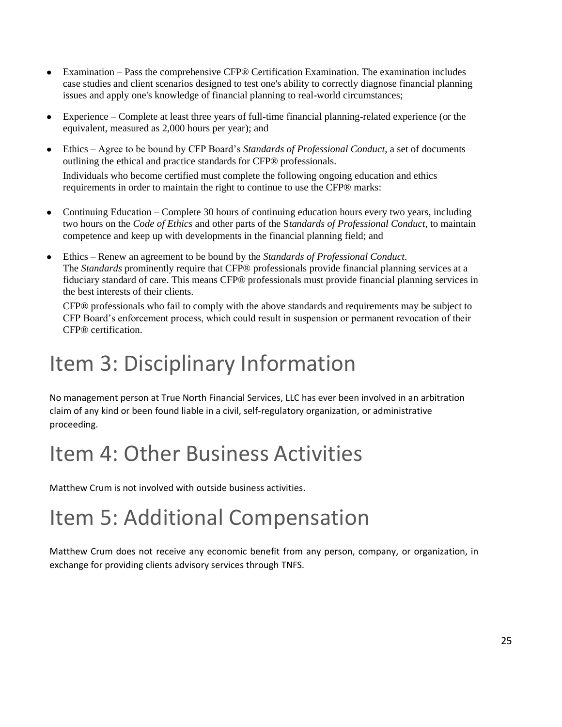- Examination Pass the comprehensive CFP® Certification Examination. The examination includes case studies and client scenarios designed to test one's ability to correctly diagnose financial planning issues and apply one's knowledge of financial planning to real-world circumstances;
- Experience Complete at least three years of full-time financial planning-related experience (or the equivalent, measured as 2,000 hours per year); and
- Ethics Agree to be bound by CFP Board's *Standards of Professional Conduct*, a set of documents outlining the ethical and practice standards for CFP® professionals. Individuals who become certified must complete the following ongoing education and ethics requirements in order to maintain the right to continue to use the CFP® marks:
- Continuing Education Complete 30 hours of continuing education hours every two years, including two hours on the *Code of Ethics* and other parts of the S*tandards of Professional Conduct*, to maintain competence and keep up with developments in the financial planning field; and
- Ethics Renew an agreement to be bound by the *Standards of Professional Conduct*. The *Standards* prominently require that CFP® professionals provide financial planning services at a fiduciary standard of care. This means CFP® professionals must provide financial planning services in the best interests of their clients.

CFP® professionals who fail to comply with the above standards and requirements may be subject to CFP Board's enforcement process, which could result in suspension or permanent revocation of their CFP® certification.

## Item 3: Disciplinary Information

No management person at True North Financial Services, LLC has ever been involved in an arbitration claim of any kind or been found liable in a civil, self-regulatory organization, or administrative proceeding.

## Item 4: Other Business Activities

Matthew Crum is not involved with outside business activities.

## Item 5: Additional Compensation

Matthew Crum does not receive any economic benefit from any person, company, or organization, in exchange for providing clients advisory services through TNFS.